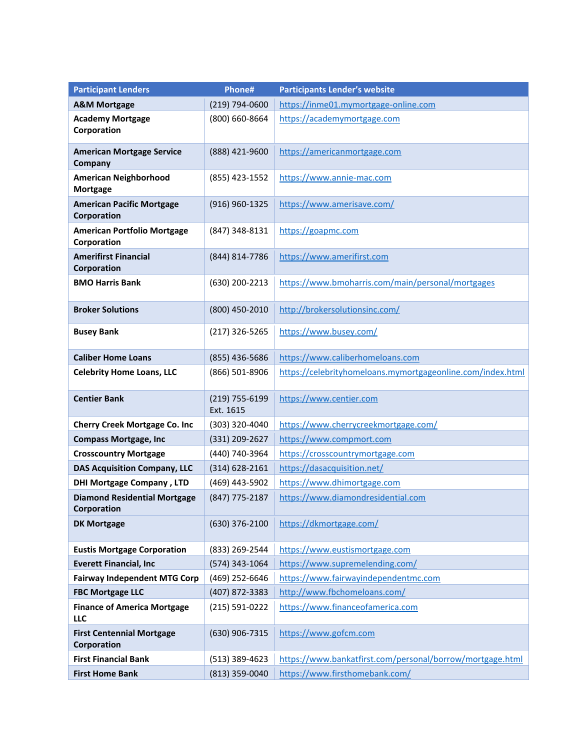| <b>Participant Lenders</b>                         | Phone#                      | <b>Participants Lender's website</b>                       |
|----------------------------------------------------|-----------------------------|------------------------------------------------------------|
| <b>A&amp;M Mortgage</b>                            | (219) 794-0600              | https://inme01.mymortgage-online.com                       |
| <b>Academy Mortgage</b><br>Corporation             | (800) 660-8664              | https://academymortgage.com                                |
| <b>American Mortgage Service</b><br>Company        | (888) 421-9600              | https://americanmortgage.com                               |
| <b>American Neighborhood</b><br><b>Mortgage</b>    | (855) 423-1552              | https://www.annie-mac.com                                  |
| <b>American Pacific Mortgage</b><br>Corporation    | (916) 960-1325              | https://www.amerisave.com/                                 |
| <b>American Portfolio Mortgage</b><br>Corporation  | (847) 348-8131              | https://goapmc.com                                         |
| <b>Amerifirst Financial</b><br>Corporation         | (844) 814-7786              | https://www.amerifirst.com                                 |
| <b>BMO Harris Bank</b>                             | (630) 200-2213              | https://www.bmoharris.com/main/personal/mortgages          |
| <b>Broker Solutions</b>                            | (800) 450-2010              | http://brokersolutionsinc.com/                             |
| <b>Busey Bank</b>                                  | (217) 326-5265              | https://www.busey.com/                                     |
| <b>Caliber Home Loans</b>                          | (855) 436-5686              | https://www.caliberhomeloans.com                           |
| <b>Celebrity Home Loans, LLC</b>                   | (866) 501-8906              | https://celebrityhomeloans.mymortgageonline.com/index.html |
| <b>Centier Bank</b>                                | (219) 755-6199<br>Ext. 1615 | https://www.centier.com                                    |
| <b>Cherry Creek Mortgage Co. Inc</b>               | (303) 320-4040              | https://www.cherrycreekmortgage.com/                       |
| <b>Compass Mortgage, Inc</b>                       | (331) 209-2627              | https://www.compmort.com                                   |
| <b>Crosscountry Mortgage</b>                       | (440) 740-3964              | https://crosscountrymortgage.com                           |
| <b>DAS Acquisition Company, LLC</b>                | $(314) 628 - 2161$          | https://dasacquisition.net/                                |
| <b>DHI Mortgage Company, LTD</b>                   | (469) 443-5902              | https://www.dhimortgage.com                                |
| <b>Diamond Residential Mortgage</b><br>Corporation | (847) 775-2187              | https://www.diamondresidential.com                         |
| <b>DK Mortgage</b>                                 | $(630)$ 376-2100            | https://dkmortgage.com/                                    |
| <b>Eustis Mortgage Corporation</b>                 | (833) 269-2544              | https://www.eustismortgage.com                             |
| <b>Everett Financial, Inc</b>                      | (574) 343-1064              | https://www.supremelending.com/                            |
| <b>Fairway Independent MTG Corp</b>                | (469) 252-6646              | https://www.fairwayindependentmc.com                       |
| <b>FBC Mortgage LLC</b>                            | (407) 872-3383              | http://www.fbchomeloans.com/                               |
| <b>Finance of America Mortgage</b><br>LLC          | (215) 591-0222              | https://www.financeofamerica.com                           |
| <b>First Centennial Mortgage</b><br>Corporation    | (630) 906-7315              | https://www.gofcm.com                                      |
| <b>First Financial Bank</b>                        | (513) 389-4623              | https://www.bankatfirst.com/personal/borrow/mortgage.html  |
| <b>First Home Bank</b>                             | (813) 359-0040              | https://www.firsthomebank.com/                             |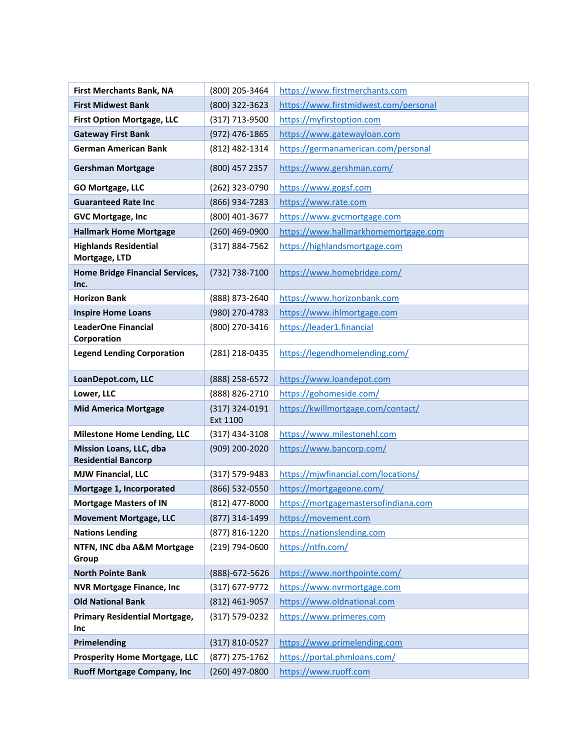| <b>First Merchants Bank, NA</b>                       | (800) 205-3464             | https://www.firstmerchants.com        |
|-------------------------------------------------------|----------------------------|---------------------------------------|
| <b>First Midwest Bank</b>                             | (800) 322-3623             | https://www.firstmidwest.com/personal |
| <b>First Option Mortgage, LLC</b>                     | (317) 713-9500             | https://myfirstoption.com             |
| <b>Gateway First Bank</b>                             | (972) 476-1865             | https://www.gatewayloan.com           |
| <b>German American Bank</b>                           | (812) 482-1314             | https://germanamerican.com/personal   |
| <b>Gershman Mortgage</b>                              | (800) 457 2357             | https://www.gershman.com/             |
| <b>GO Mortgage, LLC</b>                               | (262) 323-0790             | https://www.gogsf.com                 |
| <b>Guaranteed Rate Inc</b>                            | (866) 934-7283             | https://www.rate.com                  |
| <b>GVC Mortgage, Inc</b>                              | (800) 401-3677             | https://www.gvcmortgage.com           |
| <b>Hallmark Home Mortgage</b>                         | (260) 469-0900             | https://www.hallmarkhomemortgage.com  |
| <b>Highlands Residential</b><br>Mortgage, LTD         | (317) 884-7562             | https://highlandsmortgage.com         |
| <b>Home Bridge Financial Services,</b><br>Inc.        | (732) 738-7100             | https://www.homebridge.com/           |
| <b>Horizon Bank</b>                                   | (888) 873-2640             | https://www.horizonbank.com           |
| <b>Inspire Home Loans</b>                             | (980) 270-4783             | https://www.ihlmortgage.com           |
| <b>LeaderOne Financial</b><br>Corporation             | (800) 270-3416             | https://leader1.financial             |
| <b>Legend Lending Corporation</b>                     | (281) 218-0435             | https://legendhomelending.com/        |
| LoanDepot.com, LLC                                    | (888) 258-6572             | https://www.loandepot.com             |
| Lower, LLC                                            | (888) 826-2710             | https://gohomeside.com/               |
| <b>Mid America Mortgage</b>                           | (317) 324-0191<br>Ext 1100 | https://kwillmortgage.com/contact/    |
| <b>Milestone Home Lending, LLC</b>                    | $(317)$ 434-3108           | https://www.milestonehl.com           |
| Mission Loans, LLC, dba<br><b>Residential Bancorp</b> | (909) 200-2020             | https://www.bancorp.com/              |
| <b>MJW Financial, LLC</b>                             | (317) 579-9483             | https://mjwfinancial.com/locations/   |
| Mortgage 1, Incorporated                              | (866) 532-0550             | https://mortgageone.com/              |
| <b>Mortgage Masters of IN</b>                         | (812) 477-8000             | https://mortgagemastersofindiana.com  |
| <b>Movement Mortgage, LLC</b>                         | (877) 314-1499             | https://movement.com                  |
| <b>Nations Lending</b>                                | (877) 816-1220             | https://nationslending.com            |
| NTFN, INC dba A&M Mortgage<br>Group                   | (219) 794-0600             | https://ntfn.com/                     |
| <b>North Pointe Bank</b>                              | (888)-672-5626             | https://www.northpointe.com/          |
| <b>NVR Mortgage Finance, Inc</b>                      | $(317)$ 677-9772           | https://www.nvrmortgage.com           |
| <b>Old National Bank</b>                              | (812) 461-9057             | https://www.oldnational.com           |
| <b>Primary Residential Mortgage,</b><br>Inc           | (317) 579-0232             | https://www.primeres.com              |
| Primelending                                          | (317) 810-0527             | https://www.primelending.com          |
| <b>Prosperity Home Mortgage, LLC</b>                  | (877) 275-1762             | https://portal.phmloans.com/          |
| <b>Ruoff Mortgage Company, Inc</b>                    | (260) 497-0800             | https://www.ruoff.com                 |